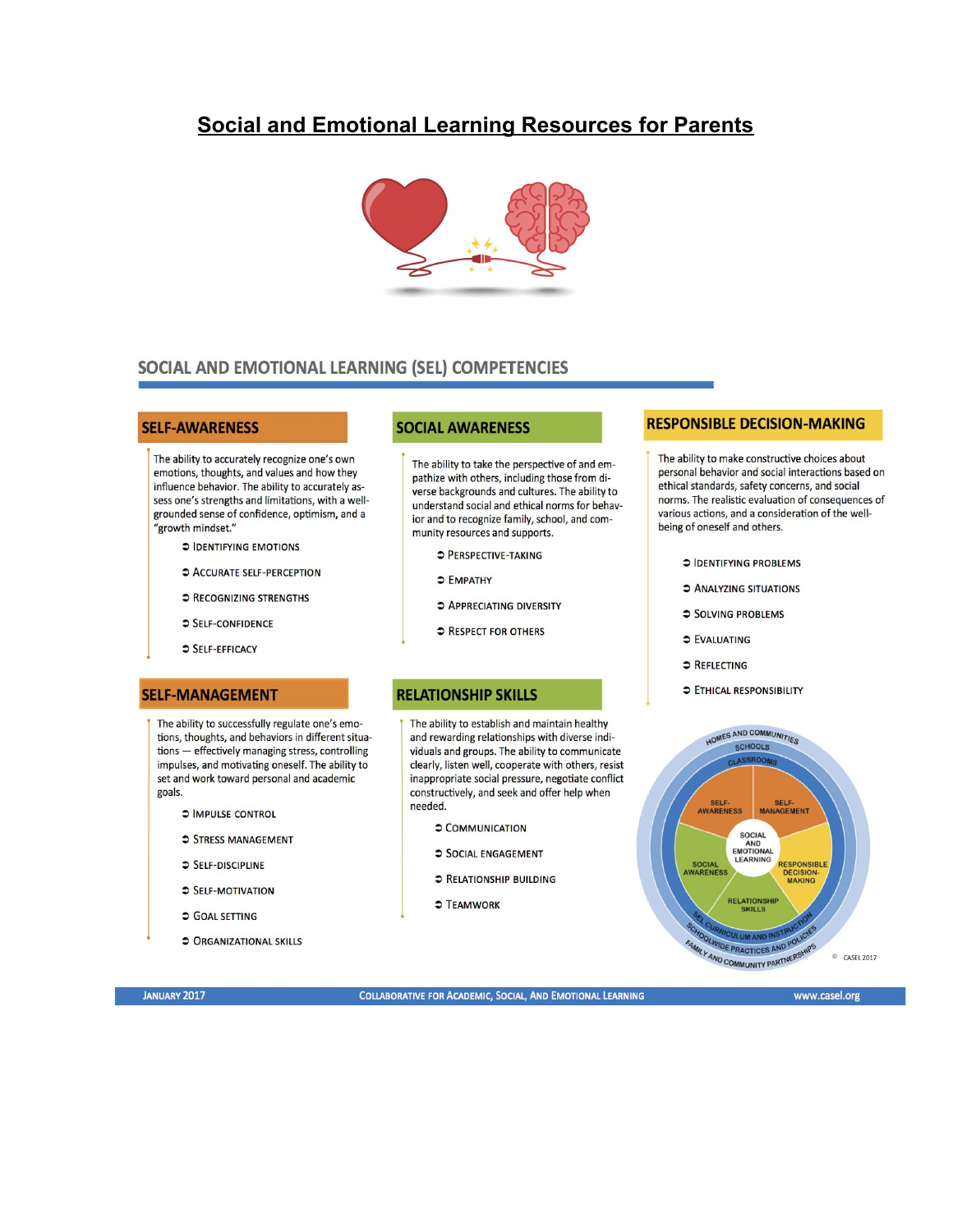# **Social and Emotional Learning Resources for Parents**



## SOCIAL AND EMOTIONAL LEARNING (SEL) COMPETENCIES

#### **SELF-AWARENESS**

The ability to accurately recognize one's own emotions, thoughts, and values and how they influence behavior. The ability to accurately assess one's strengths and limitations, with a wellgrounded sense of confidence, optimism, and a "growth mindset."

- **C IDENTIFYING EMOTIONS**
- C ACCURATE SELF-PERCEPTION
- **C RECOGNIZING STRENGTHS**
- SELF-CONFIDENCE
- SELF-EFFICACY

#### **SELF-MANAGEMENT**

The ability to successfully regulate one's emotions, thoughts, and behaviors in different situations - effectively managing stress, controlling impulses, and motivating oneself. The ability to set and work toward personal and academic goals.

- **C IMPULSE CONTROL**
- STRESS MANAGEMENT
- $S$ FIF-DISCIPLINE
- SELF-MOTIVATION
- **COAL SETTING**
- **CRGANIZATIONAL SKILLS**

### **SOCIAL AWARENESS**

The ability to take the perspective of and empathize with others, including those from diverse backgrounds and cultures. The ability to understand social and ethical norms for behavior and to recognize family, school, and community resources and supports.

- **C** PERSPECTIVE-TAKING
- S EMPATHY
- **3 APPRECIATING DIVERSITY**
- **C RESPECT FOR OTHERS**

### **RELATIONSHIP SKILLS**

The ability to establish and maintain healthy and rewarding relationships with diverse individuals and groups. The ability to communicate clearly, listen well, cooperate with others, resist inappropriate social pressure, negotiate conflict constructively, and seek and offer help when needed.

- COMMUNICATION
- SOCIAL ENGAGEMENT
- **C RELATIONSHIP BUILDING**
- **C TEAMWORK**

## **RESPONSIBLE DECISION-MAKING**

The ability to make constructive choices about personal behavior and social interactions based on ethical standards, safety concerns, and social norms. The realistic evaluation of consequences of various actions, and a consideration of the wellbeing of oneself and others.

- **C IDENTIFYING PROBLEMS**
- **C ANALYZING SITUATIONS**
- SOLVING PROBLEMS
- **C** EVALUATING
- **C** REFLECTING
- **ETHICAL RESPONSIBILITY**